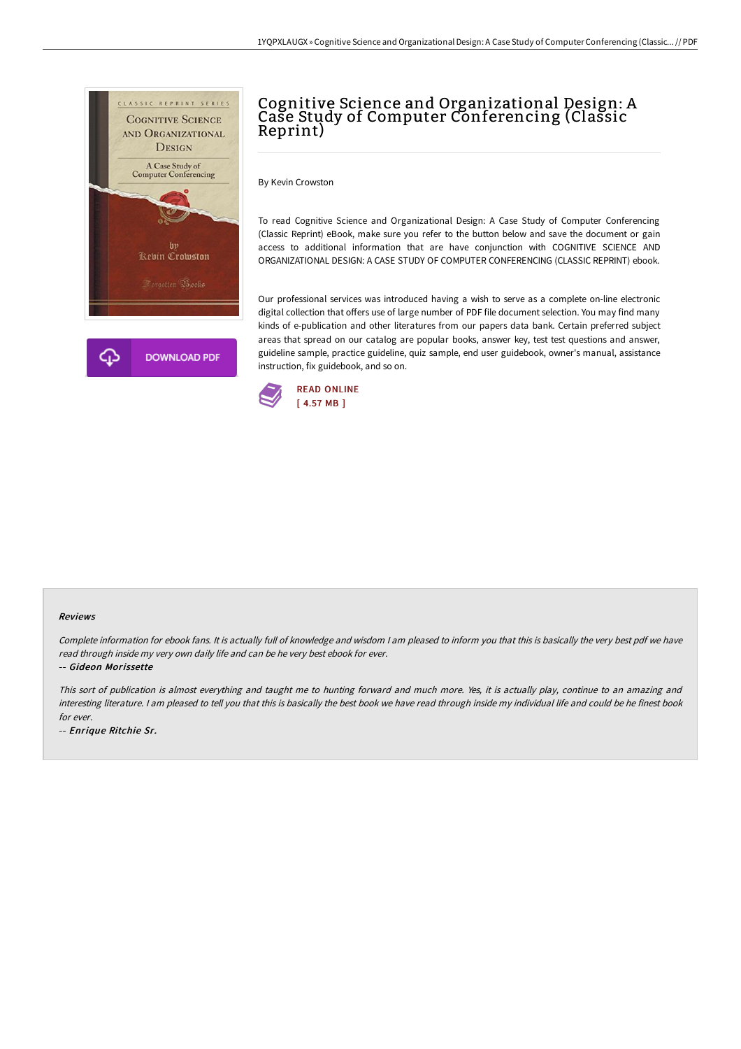

# Cognitive Science and Organizational Design: A Case Study of Computer Conferencing (Classic Reprint)

By Kevin Crowston

To read Cognitive Science and Organizational Design: A Case Study of Computer Conferencing (Classic Reprint) eBook, make sure you refer to the button below and save the document or gain access to additional information that are have conjunction with COGNITIVE SCIENCE AND ORGANIZATIONAL DESIGN: A CASE STUDY OF COMPUTER CONFERENCING (CLASSIC REPRINT) ebook.

Our professional services was introduced having a wish to serve as a complete on-line electronic digital collection that offers use of large number of PDF file document selection. You may find many kinds of e-publication and other literatures from our papers data bank. Certain preferred subject areas that spread on our catalog are popular books, answer key, test test questions and answer, guideline sample, practice guideline, quiz sample, end user guidebook, owner's manual, assistance instruction, fix guidebook, and so on.



#### Reviews

Complete information for ebook fans. It is actually full of knowledge and wisdom I am pleased to inform you that this is basically the very best pdf we have read through inside my very own daily life and can be he very best ebook for ever.

-- Gideon Morissette

This sort of publication is almost everything and taught me to hunting forward and much more. Yes, it is actually play, continue to an amazing and interesting literature. <sup>I</sup> am pleased to tell you that this is basically the best book we have read through inside my individual life and could be he finest book for ever.

-- Enrique Ritchie Sr.